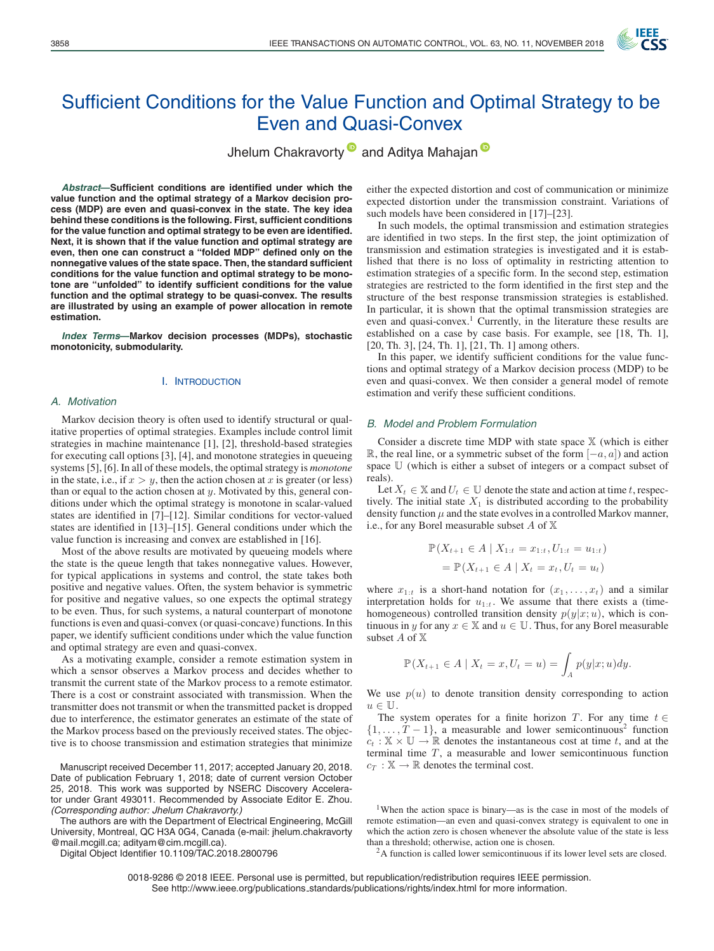

# Sufficient Conditions for the Value Function and Optimal Strategy to be Even and Quasi-Convex

Jhelum Chakravorty<sup>1</sup> and Aditya Mahajan<sup>1</sup>

*Abstract***—Sufficient conditions are identified under which the value function and the optimal strategy of a Markov decision process (MDP) are even and quasi-convex in the state. The key idea behind these conditions is the following. First, sufficient conditions for the value function and optimal strategy to be even are identified. Next, it is shown that if the value function and optimal strategy are even, then one can construct a "folded MDP" defined only on the nonnegative values of the state space. Then, the standard sufficient conditions for the value function and optimal strategy to be monotone are "unfolded" to identify sufficient conditions for the value function and the optimal strategy to be quasi-convex. The results are illustrated by using an example of power allocation in remote estimation.**

*Index Terms***—Markov decision processes (MDPs), stochastic monotonicity, submodularity.**

#### I. INTRODUCTION

#### *A. Motivation*

Markov decision theory is often used to identify structural or qualitative properties of optimal strategies. Examples include control limit strategies in machine maintenance [1], [2], threshold-based strategies for executing call options [3], [4], and monotone strategies in queueing systems [5], [6]. In all of these models, the optimal strategy is *monotone* in the state, i.e., if  $x>y$ , then the action chosen at x is greater (or less) than or equal to the action chosen at  $y$ . Motivated by this, general conditions under which the optimal strategy is monotone in scalar-valued states are identified in [7]–[12]. Similar conditions for vector-valued states are identified in [13]–[15]. General conditions under which the value function is increasing and convex are established in [16].

Most of the above results are motivated by queueing models where the state is the queue length that takes nonnegative values. However, for typical applications in systems and control, the state takes both positive and negative values. Often, the system behavior is symmetric for positive and negative values, so one expects the optimal strategy to be even. Thus, for such systems, a natural counterpart of monotone functions is even and quasi-convex (or quasi-concave) functions. In this paper, we identify sufficient conditions under which the value function and optimal strategy are even and quasi-convex.

As a motivating example, consider a remote estimation system in which a sensor observes a Markov process and decides whether to transmit the current state of the Markov process to a remote estimator. There is a cost or constraint associated with transmission. When the transmitter does not transmit or when the transmitted packet is dropped due to interference, the estimator generates an estimate of the state of the Markov process based on the previously received states. The objective is to choose transmission and estimation strategies that minimize

Manuscript received December 11, 2017; accepted January 20, 2018. Date of publication February 1, 2018; date of current version October 25, 2018. This work was supported by NSERC Discovery Accelerator under Grant 493011. Recommended by Associate Editor E. Zhou. *(Corresponding author: Jhelum Chakravorty.)*

The authors are with the Department of Electrical Engineering, McGill University, Montreal, QC H3A 0G4, Canada (e-mail: jhelum.chakravorty @mail.mcgill.ca; adityam@cim.mcgill.ca).

Digital Object Identifier 10.1109/TAC.2018.2800796

either the expected distortion and cost of communication or minimize expected distortion under the transmission constraint. Variations of such models have been considered in [17]–[23].

In such models, the optimal transmission and estimation strategies are identified in two steps. In the first step, the joint optimization of transmission and estimation strategies is investigated and it is established that there is no loss of optimality in restricting attention to estimation strategies of a specific form. In the second step, estimation strategies are restricted to the form identified in the first step and the structure of the best response transmission strategies is established. In particular, it is shown that the optimal transmission strategies are even and quasi-convex.<sup>1</sup> Currently, in the literature these results are established on a case by case basis. For example, see [18, Th. 1], [20, Th. 3], [24, Th. 1], [21, Th. 1] among others.

In this paper, we identify sufficient conditions for the value functions and optimal strategy of a Markov decision process (MDP) to be even and quasi-convex. We then consider a general model of remote estimation and verify these sufficient conditions.

#### *B. Model and Problem Formulation*

Consider a discrete time MDP with state space  $X$  (which is either R, the real line, or a symmetric subset of the form  $[-a, a]$ ) and action space U (which is either a subset of integers or a compact subset of reals).

Let  $X_t \in \mathbb{X}$  and  $U_t \in \mathbb{U}$  denote the state and action at time t, respectively. The initial state  $X_1$  is distributed according to the probability density function  $\mu$  and the state evolves in a controlled Markov manner, i.e., for any Borel measurable subset  $A$  of  $X$ 

$$
\mathbb{P}(X_{t+1} \in A \mid X_{1:t} = x_{1:t}, U_{1:t} = u_{1:t})
$$
  
= 
$$
\mathbb{P}(X_{t+1} \in A \mid X_t = x_t, U_t = u_t)
$$

where  $x_{1:t}$  is a short-hand notation for  $(x_1, \ldots, x_t)$  and a similar interpretation holds for  $u_{1:t}$ . We assume that there exists a (timehomogeneous) controlled transition density  $p(y|x; u)$ , which is continuous in y for any  $x \in \mathbb{X}$  and  $u \in \mathbb{U}$ . Thus, for any Borel measurable subset  $A$  of  $X$ 

$$
\mathbb{P}(X_{t+1}\in A\mid X_t=x,U_t=u)=\int_A p(y|x;u)dy.
$$

We use  $p(u)$  to denote transition density corresponding to action  $u \in \mathbb{U}$ .

The system operates for a finite horizon T. For any time  $t \in$  $\{1,\ldots,T-1\}$ , a measurable and lower semicontinuous<sup>2</sup> function  $c_t : \mathbb{X} \times \mathbb{U} \to \mathbb{R}$  denotes the instantaneous cost at time t, and at the terminal time  $T$ , a measurable and lower semicontinuous function  $c_T : \mathbb{X} \to \mathbb{R}$  denotes the terminal cost.

0018-9286 © 2018 IEEE. Personal use is permitted, but republication/redistribution requires IEEE permission. See http://www.ieee.org/publications standards/publications/rights/index.html for more information.

<sup>&</sup>lt;sup>1</sup>When the action space is binary—as is the case in most of the models of remote estimation—an even and quasi-convex strategy is equivalent to one in which the action zero is chosen whenever the absolute value of the state is less than a threshold; otherwise, action one is chosen. 2A function is called lower semicontinuous if its lower level sets are closed.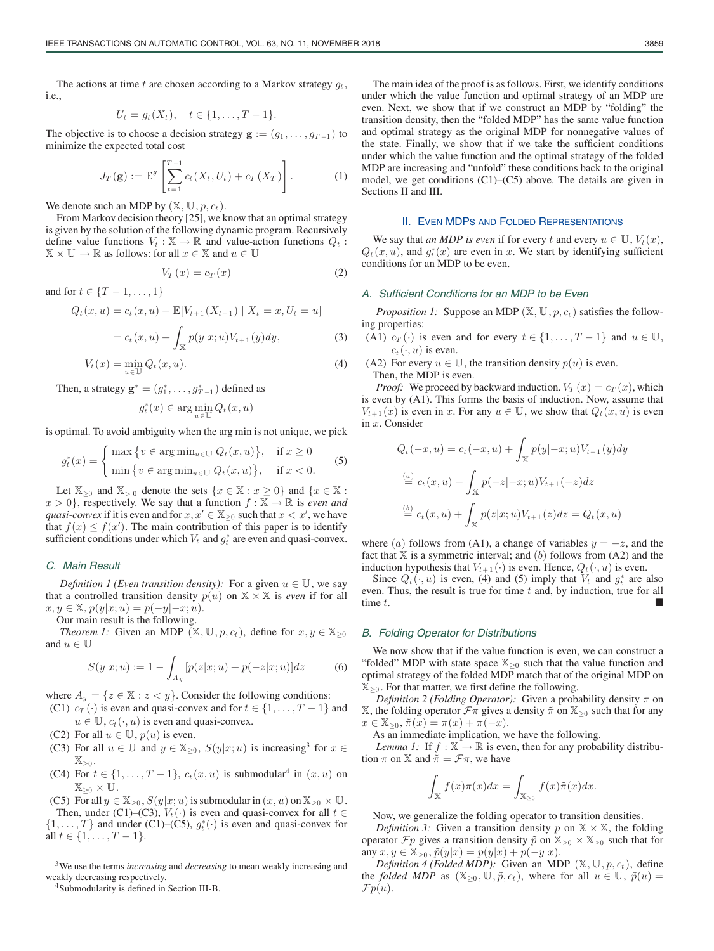The actions at time t are chosen according to a Markov strategy  $g_t$ , i.e.,

$$
U_t = g_t(X_t), \quad t \in \{1, \ldots, T-1\}.
$$

The objective is to choose a decision strategy  $\mathbf{g} := (g_1, \dots, g_{T-1})$  to minimize the expected total cost

$$
J_T(\mathbf{g}) := \mathbb{E}^g \left[ \sum_{t=1}^{T-1} c_t(X_t, U_t) + c_T(X_T) \right]. \tag{1}
$$

We denote such an MDP by  $(\mathbb{X}, \mathbb{U}, p, c_t)$ .

From Markov decision theory [25], we know that an optimal strategy is given by the solution of the following dynamic program. Recursively define value functions  $V_t : \mathbb{X} \to \mathbb{R}$  and value-action functions  $Q_t$ :  $\mathbb{X} \times \mathbb{U} \to \mathbb{R}$  as follows: for all  $x \in \mathbb{X}$  and  $u \in \mathbb{U}$ 

$$
V_T(x) = c_T(x) \tag{2}
$$

and for  $t \in \{T-1, \ldots, 1\}$ 

$$
Q_t(x, u) = c_t(x, u) + \mathbb{E}[V_{t+1}(X_{t+1}) | X_t = x, U_t = u]
$$
  
=  $c_t(x, u) + \int_{\mathbb{X}} p(y|x; u) V_{t+1}(y) dy,$  (3)

$$
V_t(x) = \min_{u \in \mathbb{U}} Q_t(x, u). \tag{4}
$$

Then, a strategy  $\mathbf{g}^* = (g_1^*, \dots, g_{T-1}^*)$  defined as

$$
g_t^*(x) \in \arg\min_{u \in \mathbb{U}} Q_t(x, u)
$$

is optimal. To avoid ambiguity when the arg min is not unique, we pick

$$
g_t^*(x) = \begin{cases} \max \left\{ v \in \arg \min_{u \in \mathbb{U}} Q_t(x, u) \right\}, & \text{if } x \ge 0 \\ \min \left\{ v \in \arg \min_{u \in \mathbb{U}} Q_t(x, u) \right\}, & \text{if } x < 0. \end{cases}
$$
(5)

Let  $\mathbb{X}_{>0}$  and  $\mathbb{X}_{>0}$  denote the sets  $\{x \in \mathbb{X} : x \geq 0\}$  and  $\{x \in \mathbb{X} : x \geq 0\}$  $x > 0$ , respectively. We say that a function  $f : \mathbb{X} \to \mathbb{R}$  is *even and quasi-convex* if it is even and for  $x, x' \in \mathbb{X}_{\geq 0}$  such that  $x < x'$ , we have that  $f(x) \leq f(x')$ . The main contribution of this paper is to identify sufficient conditions under which V, and  $a^*$  are even and quasi-convex sufficient conditions under which  $V_t$  and  $g_t^*$  are even and quasi-convex.

## *C. Main Result*

*Definition 1 (Even transition density):* For a given  $u \in \mathbb{U}$ , we say that a controlled transition density  $p(u)$  on  $X \times X$  is *even* if for all  $x, y \in \mathbb{X}, p(y|x; u) = p(-y|-x; u).$ 

Our main result is the following.

*Theorem 1:* Given an MDP ( $\mathbb{X}, \mathbb{U}, p, c_t$ ), define for  $x, y \in \mathbb{X}_{\geq 0}$ and  $u \in \mathbb{U}$ 

$$
S(y|x;u) := 1 - \int_{A_y} [p(z|x;u) + p(-z|x;u)]dz \tag{6}
$$

where  $A_y = \{z \in \mathbb{X} : z < y\}$ . Consider the following conditions:

(C1)  $c_T(\cdot)$  is even and quasi-convex and for  $t \in \{1, \ldots, T-1\}$  and

 $u \in \mathbb{U}$ ,  $c_t(\cdot, u)$  is even and quasi-convex.

- (C2) For all  $u \in \mathbb{U}$ ,  $p(u)$  is even.
- (C3) For all  $u \in \mathbb{U}$  and  $y \in \mathbb{X}_{\geq 0}$ ,  $S(y|x; u)$  is increasing<sup>3</sup> for  $x \in$  $\mathbb{X}_{\geq 0}$ .
- (C4) For  $t \in \{1,\ldots,T-1\}$ ,  $c_t(x,u)$  is submodular<sup>4</sup> in  $(x,u)$  on  $\mathbb{X}_{\geq 0} \times \mathbb{U}$ .

(C5) For all  $y \in \mathbb{X}_{\geq 0}$ ,  $S(y|x; u)$  is submodular in  $(x, u)$  on  $\mathbb{X}_{\geq 0} \times \mathbb{U}$ . Then, under (C1)–(C3),  $V_t(\cdot)$  is even and quasi-convex for all  $t \in$  $\{1,\ldots,T\}$  and under (C1)–(C5),  $g_t^*(\cdot)$  is even and quasi-convex for all  $t \in \{1, T-1\}$ all  $t \in \{1, ..., T-1\}$ .

<sup>3</sup>We use the terms *increasing* and *decreasing* to mean weakly increasing and weakly decreasing respectively.

<sup>4</sup>Submodularity is defined in Section III-B.

The main idea of the proof is as follows. First, we identify conditions under which the value function and optimal strategy of an MDP are even. Next, we show that if we construct an MDP by "folding" the transition density, then the "folded MDP" has the same value function and optimal strategy as the original MDP for nonnegative values of the state. Finally, we show that if we take the sufficient conditions under which the value function and the optimal strategy of the folded MDP are increasing and "unfold" these conditions back to the original model, we get conditions (C1)–(C5) above. The details are given in Sections II and III.

#### II. EVEN MDPS AND FOLDED REPRESENTATIONS

We say that *an MDP is even* if for every t and every  $u \in \mathbb{U}$ ,  $V_t(x)$ ,  $Q_t(x, u)$ , and  $g_t^*(x)$  are even in x. We start by identifying sufficient conditions for an MDP to be even conditions for an MDP to be even.

## *A. Sufficient Conditions for an MDP to be Even*

*Proposition 1:* Suppose an MDP  $(\mathbb{X}, \mathbb{U}, p, c_t)$  satisfies the following properties:

(A1)  $c_T(\cdot)$  is even and for every  $t \in \{1, \ldots, T-1\}$  and  $u \in \mathbb{U}$ ,  $c_t(\cdot, u)$  is even.

(A2) For every  $u \in U$ , the transition density  $p(u)$  is even. Then, the MDP is even.

*Proof:* We proceed by backward induction.  $V_T(x) = c_T(x)$ , which is even by (A1). This forms the basis of induction. Now, assume that  $V_{t+1}(x)$  is even in x. For any  $u \in \mathbb{U}$ , we show that  $Q_t(x, u)$  is even in x. Consider

$$
Q_t(-x, u) = c_t(-x, u) + \int_{\mathbb{X}} p(y|-x; u) V_{t+1}(y) dy
$$
  
\n
$$
\stackrel{(a)}{=} c_t(x, u) + \int_{\mathbb{X}} p(-z|-x; u) V_{t+1}(-z) dz
$$
  
\n
$$
\stackrel{(b)}{=} c_t(x, u) + \int_{\mathbb{X}} p(z|x; u) V_{t+1}(z) dz = Q_t(x, u)
$$

where (a) follows from (A1), a change of variables  $y = -z$ , and the fact that  $X$  is a symmetric interval; and  $(b)$  follows from  $(A2)$  and the induction hypothesis that  $V_{t+1}(\cdot)$  is even. Hence,  $Q_t(\cdot, u)$  is even.

Since  $Q_t(\cdot, u)$  is even, (4) and (5) imply that  $V_t$  and  $g_t^*$  are also en Thus the result is true for time t and by induction true for all even. Thus, the result is true for time  $t$  and, by induction, true for all time  $t$ .

#### *B. Folding Operator for Distributions*

We now show that if the value function is even, we can construct a "folded" MDP with state space  $\mathbb{X}_{\geq 0}$  such that the value function and optimal strategy of the folded MDP match that of the original MDP on  $\mathbb{X}_{\geq 0}$ . For that matter, we first define the following.

*Definition 2 (Folding Operator):* Given a probability density  $\pi$  on X, the folding operator  $\mathcal{F}\pi$  gives a density  $\tilde{\pi}$  on  $\mathbb{X}_{\geq 0}$  such that for any  $x \in \mathbb{X}_{\geq 0}, \tilde{\pi}(x) = \pi(x) + \pi(-x).$ 

As an immediate implication, we have the following.

*Lemma 1:* If  $f : \mathbb{X} \to \mathbb{R}$  is even, then for any probability distribution  $\pi$  on X and  $\tilde{\pi} = \mathcal{F}\pi$ , we have

$$
\int_{\mathbb{X}} f(x)\pi(x)dx = \int_{\mathbb{X}_{\geq 0}} f(x)\tilde{\pi}(x)dx.
$$

Now, we generalize the folding operator to transition densities.

*Definition 3:* Given a transition density p on  $X \times X$ , the folding operator  $\mathcal{F}p$  gives a transition density  $\tilde{p}$  on  $\mathbb{X}_{\geq 0} \times \mathbb{X}_{\geq 0}$  such that for any  $x, y \in \mathbb{X}_{\geq 0}$ ,  $\tilde{p}(y|x) = p(y|x) + p(-y|x)$ .

*Definition 4 (Folded MDP):* Given an MDP  $(\mathbb{X}, \mathbb{U}, p, c_t)$ , define the *folded MDP* as  $(\mathbb{X}_{\geq 0}, \mathbb{U}, \tilde{p}, c_t)$ , where for all  $u \in \mathbb{U}$ ,  $\tilde{p}(u) =$  $Fp(u)$ .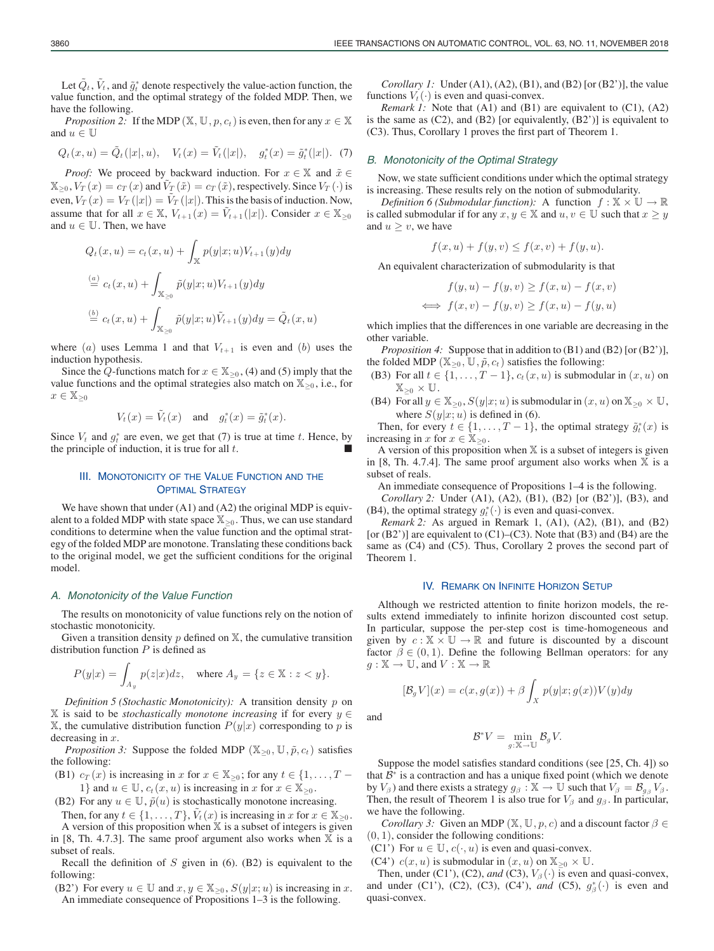Let  $\tilde{Q}_t$ ,  $\tilde{V}_t$ , and  $\tilde{g}_t^*$  denote respectively the value-action function, the function and the optimal strategy of the folded MDP. Then we value function, and the optimal strategy of the folded MDP. Then, we have the following.

*Proposition 2:* If the MDP ( $\mathbb{X}, \mathbb{U}, p, c_t$ ) is even, then for any  $x \in \mathbb{X}$ and  $u\in\mathbb{U}$ 

$$
Q_t(x, u) = \tilde{Q}_t(|x|, u), \quad V_t(x) = \tilde{V}_t(|x|), \quad g_t^*(x) = \tilde{g}_t^*(|x|).
$$
 (7)

*Proof:* We proceed by backward induction. For  $x \in \mathbb{X}$  and  $\tilde{x} \in$  $\mathbb{X}_{\geq 0}$ ,  $V_T(x) = c_T(x)$  and  $V_T(\tilde{x}) = c_T(\tilde{x})$ , respectively. Since  $V_T(\cdot)$  is even,  $V_T(x) = V_T(|x|) = V_T(|x|)$ . This is the basis of induction. Now, assume that for all  $x \in \mathbb{X}$ ,  $V_{t+1}(x) = \tilde{V}_{t+1}(|x|)$ . Consider  $x \in \mathbb{X}_{\geq 0}$ and  $u \in \mathbb{U}$ . Then, we have

$$
Q_t(x, u) = c_t(x, u) + \int_{\mathbb{X}} p(y|x; u) V_{t+1}(y) dy
$$
  
\n
$$
\stackrel{(a)}{=} c_t(x, u) + \int_{\mathbb{X}_{\geq 0}} \tilde{p}(y|x; u) V_{t+1}(y) dy
$$
  
\n
$$
\stackrel{(b)}{=} c_t(x, u) + \int_{\mathbb{X}_{\geq 0}} \tilde{p}(y|x; u) \tilde{V}_{t+1}(y) dy = \tilde{Q}_t(x, u)
$$

where (a) uses Lemma 1 and that  $V_{t+1}$  is even and (b) uses the induction hypothesis.

Since the Q-functions match for  $x \in \mathbb{X}_{\geq 0}$ , (4) and (5) imply that the value functions and the optimal strategies also match on  $\mathbb{X}_{\geq 0}$ , i.e., for  $x \in \mathbb{X}_{\geq 0}$ 

$$
V_t(x) = \tilde{V}_t(x) \quad \text{and} \quad g_t^*(x) = \tilde{g}_t^*(x).
$$

Since  $V_t$  and  $g_t^*$  are even, we get that (7) is true at time t. Hence, by the principle of induction, it is true for all  $t$ .

## III. MONOTONICITY OF THE VALUE FUNCTION AND THE **OPTIMAL STRATEGY**

We have shown that under (A1) and (A2) the original MDP is equivalent to a folded MDP with state space  $\mathbb{X}_{\geq 0}$ . Thus, we can use standard conditions to determine when the value function and the optimal strategy of the folded MDP are monotone. Translating these conditions back to the original model, we get the sufficient conditions for the original model.

#### *A. Monotonicity of the Value Function*

The results on monotonicity of value functions rely on the notion of stochastic monotonicity.

Given a transition density  $p$  defined on  $X$ , the cumulative transition distribution function  $P$  is defined as

$$
P(y|x) = \int_{A_y} p(z|x)dz, \quad \text{where } A_y = \{z \in \mathbb{X} : z < y\}.
$$

*Definition 5 (Stochastic Monotonicity):* A transition density p on X is said to be *stochastically monotone increasing* if for every y ∈  $X$ , the cumulative distribution function  $P(y|x)$  corresponding to p is decreasing in  $x$ .

*Proposition 3:* Suppose the folded MDP ( $\mathbb{X}_{\geq 0}$ ,  $\mathbb{U}$ ,  $\tilde{p}$ ,  $c_t$ ) satisfies the following:

(B1)  $c_T(x)$  is increasing in x for  $x \in \mathbb{X}_{\geq 0}$ ; for any  $t \in \{1, \ldots, T -$ 1} and  $u \in \mathbb{U}$ ,  $c_t(x, u)$  is increasing in x for  $x \in \mathbb{X}_{\geq 0}$ .

(B2) For any  $u \in \mathbb{U}$ ,  $\tilde{p}(u)$  is stochastically monotone increasing.

Then, for any  $t \in \{1, \ldots, T\}$ ,  $V_t(x)$  is increasing in x for  $x \in \mathbb{X}_{\geq 0}$ . A version of this proposition when  $X$  is a subset of integers is given in [8, Th. 4.7.3]. The same proof argument also works when  $X$  is a subset of reals.

Recall the definition of  $S$  given in (6). (B2) is equivalent to the following:

(B2') For every  $u \in \mathbb{U}$  and  $x, y \in \mathbb{X}_{\geq 0}$ ,  $S(y|x; u)$  is increasing in x. An immediate consequence of Propositions 1–3 is the following.

*Corollary 1:* Under (A1), (A2), (B1), and (B2) [or (B2')], the value functions  $V_t(\cdot)$  is even and quasi-convex.

*Remark 1:* Note that (A1) and (B1) are equivalent to (C1), (A2) is the same as (C2), and (B2) [or equivalently, (B2')] is equivalent to (C3). Thus, Corollary 1 proves the first part of Theorem 1.

#### *B. Monotonicity of the Optimal Strategy*

Now, we state sufficient conditions under which the optimal strategy is increasing. These results rely on the notion of submodularity.

*Definition 6 (Submodular function):* A function  $f : \mathbb{X} \times \mathbb{U} \rightarrow \mathbb{R}$ is called submodular if for any  $x, y \in \mathbb{X}$  and  $u, v \in \mathbb{U}$  such that  $x \geq y$ and  $u \geq v$ , we have

$$
f(x, u) + f(y, v) \le f(x, v) + f(y, u).
$$

An equivalent characterization of submodularity is that

$$
f(y, u) - f(y, v) \ge f(x, u) - f(x, v)
$$
  

$$
\iff f(x, v) - f(y, v) \ge f(x, u) - f(y, u)
$$

which implies that the differences in one variable are decreasing in the other variable.

*Proposition 4:* Suppose that in addition to (B1) and (B2) [or (B2')], the folded MDP ( $\mathbb{X}_{\geq 0}$ ,  $\mathbb{U}$ ,  $\tilde{p}$ ,  $c_t$ ) satisfies the following:

- (B3) For all  $t \in \{1, \ldots, T-1\}$ ,  $c_t(x, u)$  is submodular in  $(x, u)$  on  $\mathbb{X}_{\geq 0} \times \mathbb{U}$ .
- (B4) For all  $y \in \mathbb{X}_{\geq 0}$ ,  $S(y|x; u)$  is submodular in  $(x, u)$  on  $\mathbb{X}_{\geq 0} \times \mathbb{U}$ , where  $S(y|x; u)$  is defined in (6).

Then, for every  $t \in \{1, ..., T-1\}$ , the optimal strategy  $\tilde{g}_t^*(x)$  is reasing in x for  $x \in \mathbb{X}_{\geq 0}$ . increasing in x for  $x \in \mathbb{X}_{\geq 0}$ .

A version of this proposition when  $X$  is a subset of integers is given in [8, Th. 4.7.4]. The same proof argument also works when  $X$  is a subset of reals.

An immediate consequence of Propositions 1–4 is the following.

*Corollary 2:* Under (A1), (A2), (B1), (B2) [or (B2')], (B3), and (B4), the optimal strategy  $g_t^*(\cdot)$  is even and quasi-convex.<br>*Remark* 2: As aroued in Remark 1 (A1) (A2) (B)

*Remark 2:* As argued in Remark 1, (A1), (A2), (B1), and (B2) [or  $(B2')$ ] are equivalent to  $(C1)$ – $(C3)$ . Note that  $(B3)$  and  $(B4)$  are the same as (C4) and (C5). Thus, Corollary 2 proves the second part of Theorem 1.

#### IV. REMARK ON INFINITE HORIZON SETUP

Although we restricted attention to finite horizon models, the results extend immediately to infinite horizon discounted cost setup. In particular, suppose the per-step cost is time-homogeneous and given by  $c : \mathbb{X} \times \mathbb{U} \rightarrow \mathbb{R}$  and future is discounted by a discount factor  $\beta \in (0, 1)$ . Define the following Bellman operators: for any  $g: \mathbb{X} \to \mathbb{U}$ , and  $V: \mathbb{X} \to \mathbb{R}$ 

$$
[\mathcal{B}_g V](x) = c(x, g(x)) + \beta \int_X p(y|x; g(x)) V(y) dy
$$

and

$$
\mathcal{B}^*V = \min_{g:\mathbb{X}\to\mathbb{U}} \mathcal{B}_g V.
$$

Suppose the model satisfies standard conditions (see [25, Ch. 4]) so that  $B^*$  is a contraction and has a unique fixed point (which we denote by  $V_\beta$ ) and there exists a strategy  $g_\beta : \mathbb{X} \to \mathbb{U}$  such that  $V_\beta = \mathcal{B}_{g_\beta} V_\beta$ . Then, the result of Theorem 1 is also true for  $V_\beta$  and  $g_\beta$ . In particular, we have the following.

*Corollary 3:* Given an MDP ( $\mathbb{X}, \mathbb{U}, p, c$ ) and a discount factor  $\beta \in$  $(0, 1)$ , consider the following conditions:

- (C1') For  $u \in \mathbb{U}$ ,  $c(\cdot, u)$  is even and quasi-convex.
- (C4')  $c(x, u)$  is submodular in  $(x, u)$  on  $\mathbb{X}_{\geq 0} \times \mathbb{U}$ .

Then, under (C1'), (C2), and (C3),  $V_\beta(\cdot)$  is even and quasi-convex, and under (C1'), (C2), (C3), (C4'), *and* (C5),  $g^*_{\beta}(\cdot)$  is even and quasi-convex quasi-convex.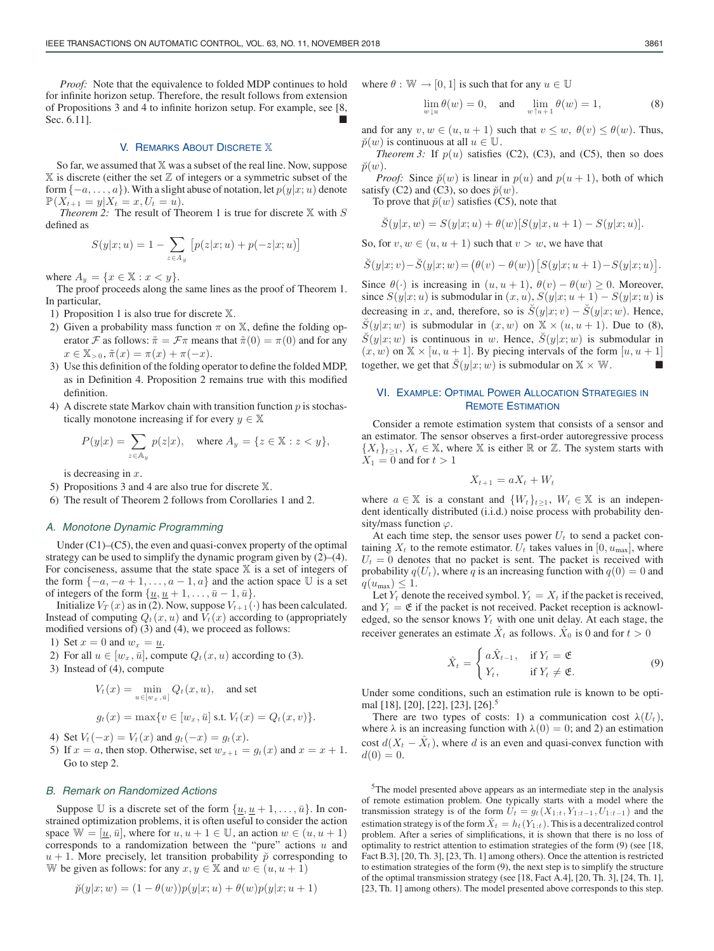*Proof:* Note that the equivalence to folded MDP continues to hold for infinite horizon setup. Therefore, the result follows from extension of Propositions 3 and 4 to infinite horizon setup. For example, see [8, Sec. 6.111.

#### V. REMARKS ABOUT DISCRETE X

So far, we assumed that X was a subset of the real line. Now, suppose  $X$  is discrete (either the set  $Z$  of integers or a symmetric subset of the form  $\{-a, \ldots, a\}$ ). With a slight abuse of notation, let  $p(y|x; u)$  denote  $\mathbb{P}(X_{t+1} = y | X_t = x, U_t = u).$ 

*Theorem 2:* The result of Theorem 1 is true for discrete  $X$  with  $S$ defined as

$$
S(y|x;u) = 1 - \sum_{z \in A_y} [p(z|x;u) + p(-z|x;u)]
$$

where  $A_y = \{x \in \mathbb{X} : x < y\}.$ 

The proof proceeds along the same lines as the proof of Theorem 1. In particular,

- 1) Proposition 1 is also true for discrete X.
- 2) Given a probability mass function  $\pi$  on  $\mathbb{X}$ , define the folding operator F as follows:  $\tilde{\pi} = \mathcal{F}\pi$  means that  $\tilde{\pi}(0) = \pi(0)$  and for any  $x \in \mathbb{X}_{>0}, \tilde{\pi}(x) = \pi(x) + \pi(-x).$
- 3) Use this definition of the folding operator to define the folded MDP, as in Definition 4. Proposition 2 remains true with this modified definition.
- 4) A discrete state Markov chain with transition function  $p$  is stochastically monotone increasing if for every  $y \in \mathbb{X}$

$$
P(y|x) = \sum_{z \in A_y} p(z|x), \quad \text{where } A_y = \{z \in \mathbb{X} : z < y\},
$$

is decreasing in  $x$ .

5) Propositions 3 and 4 are also true for discrete X.

6) The result of Theorem 2 follows from Corollaries 1 and 2.

### *A. Monotone Dynamic Programming*

Under (C1)–(C5), the even and quasi-convex property of the optimal strategy can be used to simplify the dynamic program given by (2)–(4). For conciseness, assume that the state space  $X$  is a set of integers of the form  $\{-a, -a+1, \ldots, a-1, a\}$  and the action space  $\mathbb U$  is a set of integers of the form  $\{\underline{u}, \underline{u} + 1, \dots, \overline{u} - 1, \overline{u}\}.$ 

Initialize  $V_T(x)$  as in (2). Now, suppose  $V_{t+1}(\cdot)$  has been calculated. Instead of computing  $Q_t(x, u)$  and  $V_t(x)$  according to (appropriately modified versions of) (3) and (4), we proceed as follows:

1) Set  $x = 0$  and  $w_x = u$ .

- 2) For all  $u \in [w_x, \bar{u}]$ , compute  $Q_t(x, u)$  according to (3).
- 3) Instead of (4), compute

$$
V_t(x) = \min_{u \in [w_x, \bar{u}]} Q_t(x, u), \text{ and set}
$$
  

$$
q_t(x) = \max\{v \in [w_x, \bar{u}] \text{ s.t. } V_t(x) = Q_t(x, v)\}.
$$

$$
g_t(x) = \max\{v \in [w_x, u] \text{ s.t. } V_t(x) = Q_t(x, v)
$$

4) Set  $V_t(-x) = V_t(x)$  and  $g_t(-x) = g_t(x)$ .

5) If  $x = a$ , then stop. Otherwise, set  $w_{x+1} = g_t(x)$  and  $x = x + 1$ . Go to step 2.

## *B. Remark on Randomized Actions*

Suppose U is a discrete set of the form  $\{\underline{u}, \underline{u} + 1, \dots, \overline{u}\}$ . In constrained optimization problems, it is often useful to consider the action space  $W = [\underline{u}, \overline{u}]$ , where for  $u, u + 1 \in \mathbb{U}$ , an action  $w \in (u, u + 1)$ corresponds to a randomization between the "pure" actions  $u$  and  $u + 1$ . More precisely, let transition probability  $\tilde{p}$  corresponding to W be given as follows: for any  $x, y \in \mathbb{X}$  and  $w \in (u, u + 1)$ 

$$
\breve{p}(y|x; w) = (1 - \theta(w))p(y|x; u) + \theta(w)p(y|x; u + 1)
$$

where  $\theta : \mathbb{W} \to [0, 1]$  is such that for any  $u \in \mathbb{U}$ 

$$
\lim_{w \downarrow u} \theta(w) = 0, \quad \text{and} \quad \lim_{w \uparrow u + 1} \theta(w) = 1,\tag{8}
$$

and for any  $v, w \in (u, u + 1)$  such that  $v \leq w$ ,  $\theta(v) \leq \theta(w)$ . Thus,  $\breve{p}(w)$  is continuous at all  $u \in \mathbb{U}$ .

*Theorem 3:* If  $p(u)$  satisfies (C2), (C3), and (C5), then so does  $\breve{p}(w)$ .

*Proof:* Since  $\check{p}(w)$  is linear in  $p(u)$  and  $p(u + 1)$ , both of which satisfy (C2) and (C3), so does  $\breve{p}(w)$ .

To prove that  $\breve{p}(w)$  satisfies (C5), note that

$$
\check{S}(y|x, w) = S(y|x; u) + \theta(w)[S(y|x, u+1) - S(y|x; u)].
$$

So, for  $v, w \in (u, u + 1)$  such that  $v > w$ , we have that

$$
\check{S}(y|x;v) - \check{S}(y|x;w) = (\theta(v) - \theta(w)) [S(y|x;u+1) - S(y|x;u)].
$$

Since  $\theta(\cdot)$  is increasing in  $(u, u + 1), \theta(v) - \theta(w) \geq 0$ . Moreover, since  $S(y|x; u)$  is submodular in  $(x, u)$ ,  $S(y|x; u + 1) - S(y|x; u)$  is decreasing in x, and, therefore, so is  $\check{S}(y|x;v) - \check{S}(y|x;w)$ . Hence,  $\check{S}(y|x; w)$  is submodular in  $(x, w)$  on  $\mathbb{X} \times (u, u + 1)$ . Due to (8),  $\check{S}(y|x; w)$  is continuous in w. Hence,  $\check{S}(y|x; w)$  is submodular in  $(x, w)$  on  $\mathbb{X} \times [u, u + 1]$ . By piecing intervals of the form  $[u, u + 1]$ together, we get that  $\check{S}(y|x; w)$  is submodular on  $\mathbb{X} \times \mathbb{W}$ .

## VI. EXAMPLE: OPTIMAL POWER ALLOCATION STRATEGIES IN REMOTE ESTIMATION

Consider a remote estimation system that consists of a sensor and an estimator. The sensor observes a first-order autoregressive process  $\{X_t\}_{t\geq 1}$ ,  $X_t \in \mathbb{X}$ , where X is either R or Z. The system starts with  $X_1 = 0$  and for  $t > 1$ 

$$
X_{t+1} = aX_t + W_t
$$

where  $a \in \mathbb{X}$  is a constant and  $\{W_t\}_{t\geq 1}$ ,  $W_t \in \mathbb{X}$  is an independent identically distributed (i.i.d.) noise process with probability density/mass function  $\varphi$ .

At each time step, the sensor uses power  $U_t$  to send a packet containing  $X_t$  to the remote estimator.  $U_t$  takes values in [0,  $u_{\text{max}}$ ], where  $U_t = 0$  denotes that no packet is sent. The packet is received with probability  $q(U_t)$ , where q is an increasing function with  $q(0) = 0$  and  $q(u_{\text{max}}) \leq 1.$ 

Let  $Y_t$  denote the received symbol.  $Y_t = X_t$  if the packet is received, and  $Y_t = \mathfrak{E}$  if the packet is not received. Packet reception is acknowledged, so the sensor knows  $Y_t$  with one unit delay. At each stage, the receiver generates an estimate  $\ddot{X}_t$  as follows.  $\ddot{X}_0$  is 0 and for  $t > 0$ 

$$
\hat{X}_t = \begin{cases}\n a\hat{X}_{t-1}, & \text{if } Y_t = \mathfrak{E} \\
Y_t, & \text{if } Y_t \neq \mathfrak{E}.\n\end{cases}
$$
\n(9)

Under some conditions, such an estimation rule is known to be optimal [18], [20], [22], [23], [26].<sup>5</sup>

There are two types of costs: 1) a communication cost  $\lambda(U_t)$ , where  $\lambda$  is an increasing function with  $\lambda(0) = 0$ ; and 2) an estimation cost  $d(X_t - X_t)$ , where d is an even and quasi-convex function with  $d(0) = 0.$ 

5The model presented above appears as an intermediate step in the analysis of remote estimation problem. One typically starts with a model where the transmission strategy is of the form  $U_t = g_t(X_{1:t}, Y_{1:t-1}, U_{1:t-1})$  and the estimation strategy is of the form  $\hat{X}_t = h_t(Y_{1:t})$ . This is a decentralized control problem. After a series of simplifications, it is shown that there is no loss of optimality to restrict attention to estimation strategies of the form (9) (see [18, Fact B.3], [20, Th. 3], [23, Th. 1] among others). Once the attention is restricted to estimation strategies of the form (9), the next step is to simplify the structure of the optimal transmission strategy (see [18, Fact A.4], [20, Th. 3], [24, Th. 1], [23, Th. 1] among others). The model presented above corresponds to this step.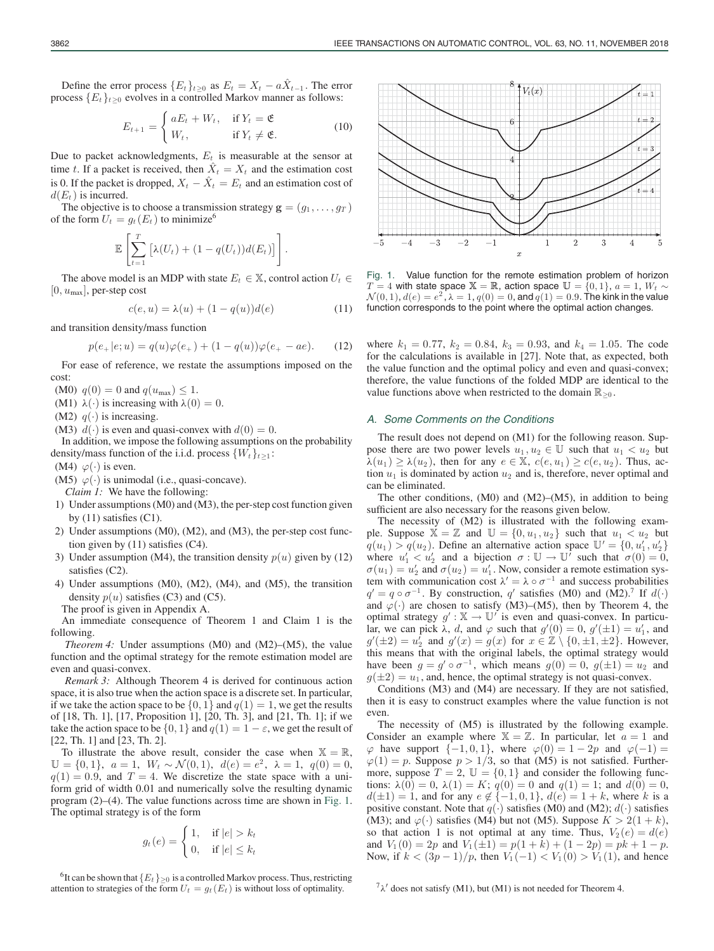$$
E_{t+1} = \begin{cases} aE_t + W_t, & \text{if } Y_t = \mathfrak{E} \\ W_t, & \text{if } Y_t \neq \mathfrak{E}. \end{cases}
$$
 (10)

Due to packet acknowledgments,  $E_t$  is measurable at the sensor at time t. If a packet is received, then  $\ddot{X}_t = X_t$  and the estimation cost is 0. If the packet is dropped,  $X_t - \hat{X}_t = E_t$  and an estimation cost of  $d(E_t)$  is incurred.

The objective is to choose a transmission strategy  $\mathbf{g} = (g_1, \dots, g_T)$ of the form  $U_t = g_t(E_t)$  to minimize<sup>6</sup>

$$
\mathbb{E}\left[\sum_{t=1}^T \left[\lambda(U_t) + (1-q(U_t))d(E_t)\right]\right].
$$

The above model is an MDP with state  $E_t \in \mathbb{X}$ , control action  $U_t \in$  $[0, u_{\text{max}}]$ , per-step cost

$$
c(e, u) = \lambda(u) + (1 - q(u))d(e)
$$
 (11)

and transition density/mass function

$$
p(e_+|e;u) = q(u)\varphi(e_+) + (1 - q(u))\varphi(e_+ - ae). \tag{12}
$$

For ease of reference, we restate the assumptions imposed on the cost:

(M0)  $q(0) = 0$  and  $q(u_{\text{max}}) \leq 1$ .

(M1)  $\lambda(\cdot)$  is increasing with  $\lambda(0) = 0$ .

(M2)  $q(\cdot)$  is increasing.

(M3)  $d(\cdot)$  is even and quasi-convex with  $d(0) = 0$ .

In addition, we impose the following assumptions on the probability density/mass function of the i.i.d. process  $\{W_t\}_{t\geq 1}$ :

(M4)  $\varphi(\cdot)$  is even.

(M5)  $\varphi(\cdot)$  is unimodal (i.e., quasi-concave).

*Claim 1:* We have the following:

- 1) Under assumptions (M0) and (M3), the per-step cost function given by  $(11)$  satisfies  $(C1)$ .
- 2) Under assumptions (M0), (M2), and (M3), the per-step cost function given by (11) satisfies (C4).
- 3) Under assumption (M4), the transition density  $p(u)$  given by (12) satisfies (C2).
- 4) Under assumptions (M0), (M2), (M4), and (M5), the transition density  $p(u)$  satisfies (C3) and (C5).

The proof is given in Appendix A.

An immediate consequence of Theorem 1 and Claim 1 is the following.

*Theorem 4:* Under assumptions (M0) and (M2)–(M5), the value function and the optimal strategy for the remote estimation model are even and quasi-convex.

*Remark 3:* Although Theorem 4 is derived for continuous action space, it is also true when the action space is a discrete set. In particular, if we take the action space to be  $\{0, 1\}$  and  $q(1) = 1$ , we get the results of [18, Th. 1], [17, Proposition 1], [20, Th. 3], and [21, Th. 1]; if we take the action space to be  $\{0, 1\}$  and  $q(1) = 1 - \varepsilon$ , we get the result of [22, Th. 1] and [23, Th. 2].

To illustrate the above result, consider the case when  $\mathbb{X} = \mathbb{R}$ ,  $\mathbb{U} = \{0, 1\}, \ \ a = 1, \ \ W_t \sim \mathcal{N}(0, 1), \ \ d(e) = e^2, \ \lambda = 1, \ \ q(0) = 0,$  $q(1) = 0.9$ , and  $T = 4$ . We discretize the state space with a uniform grid of width 0.01 and numerically solve the resulting dynamic program (2)–(4). The value functions across time are shown in Fig. 1. The optimal strategy is of the form

$$
g_t(e) = \begin{cases} 1, & \text{if } |e| > k_t \\ 0, & \text{if } |e| \le k_t \end{cases}
$$

<sup>6</sup>It can be shown that  ${E_t}_{>0}$  is a controlled Markov process. Thus, restricting attention to strategies of the form  $U_t = g_t(E_t)$  is without loss of optimality.





Fig. 1. Value function for the remote estimation problem of horizon  $T = 4$  with state space  $X = \mathbb{R}$ , action space  $\mathbb{U} = \{0, 1\}$ ,  $a = 1$ ,  $W_t \sim$  $\mathcal{N}(0, 1), d(e) = e^2$ ,  $\lambda = 1, q(0) = 0$ , and  $q(1) = 0.9$ . The kink in the value function corresponds to the point where the optimal action changes.

where  $k_1 = 0.77$ ,  $k_2 = 0.84$ ,  $k_3 = 0.93$ , and  $k_4 = 1.05$ . The code for the calculations is available in [27]. Note that, as expected, both the value function and the optimal policy and even and quasi-convex; therefore, the value functions of the folded MDP are identical to the value functions above when restricted to the domain  $\mathbb{R}_{\geq 0}$ .

#### *A. Some Comments on the Conditions*

The result does not depend on (M1) for the following reason. Suppose there are two power levels  $u_1, u_2 \in \mathbb{U}$  such that  $u_1 < u_2$  but  $\lambda(u_1) \geq \lambda(u_2)$ , then for any  $e \in \mathbb{X}$ ,  $c(e, u_1) \geq c(e, u_2)$ . Thus, action  $u_1$  is dominated by action  $u_2$  and is, therefore, never optimal and can be eliminated.

The other conditions, (M0) and (M2)–(M5), in addition to being sufficient are also necessary for the reasons given below.

The necessity of (M2) is illustrated with the following example. Suppose  $\mathbb{X} = \mathbb{Z}$  and  $\mathbb{U} = \{0, u_1, u_2\}$  such that  $u_1 < u_2$  but  $q(u_1) > q(u_2)$ . Define an alternative action space  $\mathbb{U}' = \{0, u'_1, u'_2\}$ <br>where  $u'_1 < u'_2$  and a bijection  $\sigma : \mathbb{U} \to \mathbb{U}'$  such that  $\sigma(0) = 0$ . where  $u'_1 < u'_2$  and a bijection  $\sigma : \mathbb{U} \to \mathbb{U}$  such that  $\sigma(0) = 0$ ,<br> $\sigma(u_1) = u'_2$  and  $\sigma(u_2) = u'_1$ . Now consider a remote estimation sys- $\sigma(u_1) = u_2'$  and  $\sigma(u_2) = u_1'$ . Now, consider a remote estimation system with communication cost  $\lambda' = \lambda_0 \sigma^{-1}$  and success probabilities tem with communication cost  $\lambda' = \lambda \circ \sigma^{-1}$  and success probabilities  $q' = q \circ \sigma^{-1}$ . By construction,  $q'$  satisfies (M0) and (M2).<sup>7</sup> If  $d(·)$ and  $\varphi(\cdot)$  are chosen to satisfy (M3)–(M5), then by Theorem 4, the optimal strategy  $g' : \mathbb{X} \to \mathbb{U}'$  is even and quasi-convex. In particular, we can pick  $\lambda$ , d, and  $\varphi$  such that  $g'(0) = 0$ ,  $g'(\pm 1) = u'_1$ , and  $g'(\pm 2) = u'_2$  and  $g'(\pm 1) = g(\pm 2)$  for  $\pm \pi \leq \mathbb{Z} \setminus \{0, \pm 1, \pm 2\}$ . However  $g'(\pm 2) = u'_2$  and  $g'(x) = g(x)$  for  $x \in \mathbb{Z} \setminus \{0, \pm 1, \pm 2\}$ . However, this means that with the original labels the optimal strategy would this means that with the original labels, the optimal strategy would have been  $g = g' \circ \sigma^{-1}$ , which means  $g(0) = 0$ ,  $g(\pm 1) = u_2$  and  $g(\pm 2) = u_1$ , and, hence, the optimal strategy is not quasi-convex.

Conditions (M3) and (M4) are necessary. If they are not satisfied, then it is easy to construct examples where the value function is not even.

The necessity of (M5) is illustrated by the following example. Consider an example where  $X = \mathbb{Z}$ . In particular, let  $a = 1$  and  $\varphi$  have support  $\{-1, 0, 1\}$ , where  $\varphi(0) = 1 - 2p$  and  $\varphi(-1) =$  $\varphi(1) = p$ . Suppose  $p > 1/3$ , so that (M5) is not satisfied. Furthermore, suppose  $T = 2$ ,  $\mathbb{U} = \{0, 1\}$  and consider the following functions:  $\lambda(0) = 0$ ,  $\lambda(1) = K$ ;  $q(0) = 0$  and  $q(1) = 1$ ; and  $d(0) = 0$ ,  $d(\pm 1) = 1$ , and for any  $e \notin \{-1, 0, 1\}$ ,  $d(e) = 1 + k$ , where k is a positive constant. Note that  $q(\cdot)$  satisfies (M0) and (M2);  $d(\cdot)$  satisfies (M3); and  $\varphi(\cdot)$  satisfies (M4) but not (M5). Suppose  $K > 2(1 + k)$ , so that action 1 is not optimal at any time. Thus,  $V_2(e) = d(e)$ and  $V_1(0) = 2p$  and  $V_1(\pm 1) = p(1 + k) + (1 - 2p) = pk + 1 - p$ . Now, if  $k < (3p-1)/p$ , then  $V_1(-1) < V_1(0) > V_1(1)$ , and hence

 $7\lambda'$  does not satisfy (M1), but (M1) is not needed for Theorem 4.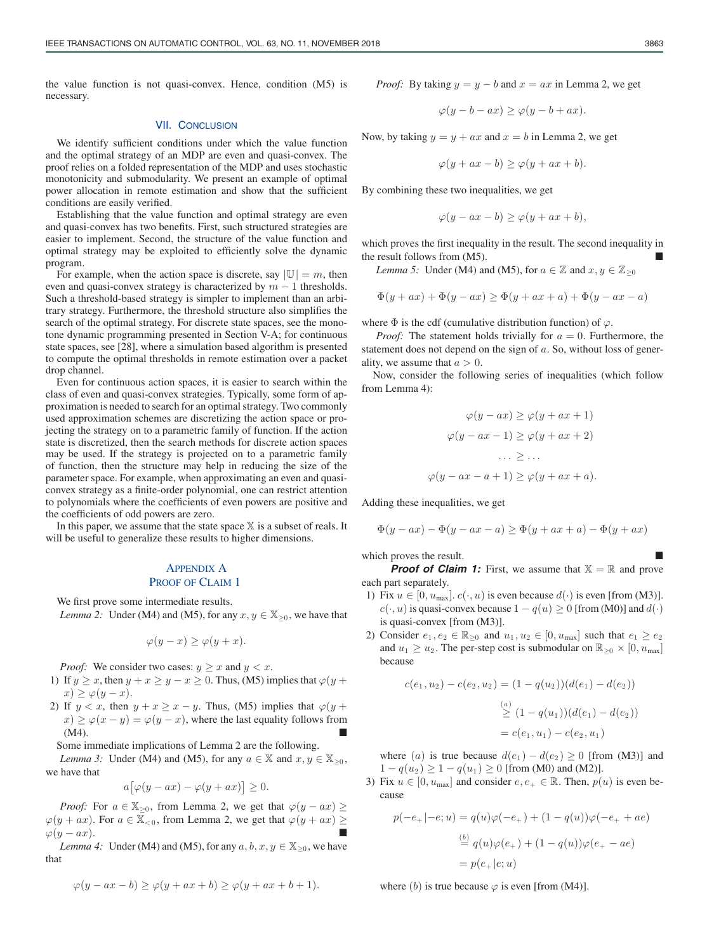the value function is not quasi-convex. Hence, condition (M5) is necessary.

#### VII. CONCLUSION

We identify sufficient conditions under which the value function and the optimal strategy of an MDP are even and quasi-convex. The proof relies on a folded representation of the MDP and uses stochastic monotonicity and submodularity. We present an example of optimal power allocation in remote estimation and show that the sufficient conditions are easily verified.

Establishing that the value function and optimal strategy are even and quasi-convex has two benefits. First, such structured strategies are easier to implement. Second, the structure of the value function and optimal strategy may be exploited to efficiently solve the dynamic program.

For example, when the action space is discrete, say  $|\mathbb{U}| = m$ , then even and quasi-convex strategy is characterized by  $m - 1$  thresholds. Such a threshold-based strategy is simpler to implement than an arbitrary strategy. Furthermore, the threshold structure also simplifies the search of the optimal strategy. For discrete state spaces, see the monotone dynamic programming presented in Section V-A; for continuous state spaces, see [28], where a simulation based algorithm is presented to compute the optimal thresholds in remote estimation over a packet drop channel.

Even for continuous action spaces, it is easier to search within the class of even and quasi-convex strategies. Typically, some form of approximation is needed to search for an optimal strategy. Two commonly used approximation schemes are discretizing the action space or projecting the strategy on to a parametric family of function. If the action state is discretized, then the search methods for discrete action spaces may be used. If the strategy is projected on to a parametric family of function, then the structure may help in reducing the size of the parameter space. For example, when approximating an even and quasiconvex strategy as a finite-order polynomial, one can restrict attention to polynomials where the coefficients of even powers are positive and the coefficients of odd powers are zero.

In this paper, we assume that the state space  $X$  is a subset of reals. It will be useful to generalize these results to higher dimensions.

# APPENDIX A PROOF OF CLAIM 1

We first prove some intermediate results.

a

*Lemma 2:* Under (M4) and (M5), for any  $x, y \in \mathbb{X}_{\geq 0}$ , we have that

$$
\varphi(y-x) \ge \varphi(y+x).
$$

*Proof:* We consider two cases:  $y \ge x$  and  $y < x$ .

- 1) If  $y \ge x$ , then  $y + x \ge y x \ge 0$ . Thus, (M5) implies that  $\varphi(y + x)$  $x) \geq \varphi(y-x).$
- 2) If  $y < x$ , then  $y + x \ge x y$ . Thus, (M5) implies that  $\varphi(y +$  $x) \ge \varphi(x - y) = \varphi(y - x)$ , where the last equality follows from (M4).  $(M4)$ .

Some immediate implications of Lemma 2 are the following.

*Lemma 3:* Under (M4) and (M5), for any  $a \in \mathbb{X}$  and  $x, y \in \mathbb{X}_{\geq 0}$ , we have that

$$
[\varphi(y - ax) - \varphi(y + ax)] \ge 0.
$$

*Proof:* For  $a \in \mathbb{X}_{\geq 0}$ , from Lemma 2, we get that  $\varphi(y - ax) \geq$  $\varphi(y + ax)$ . For  $a \in \mathbb{X}_{< 0}$ , from Lemma 2, we get that  $\varphi(y + ax) \ge \varphi(y - ax)$ .  $\varphi(y - ax)$ .<br> *Lemma A*: Under (MA) and (M5) for any  $a, b, x, y \in \mathbb{X}$ , we have

*Lemma 4:* Under (M4) and (M5), for any  $a, b, x, y \in \mathbb{X}_{\geq 0}$ , we have that

$$
\varphi(y - ax - b) \ge \varphi(y + ax + b) \ge \varphi(y + ax + b + 1).
$$

*Proof:* By taking  $y = y - b$  and  $x = ax$  in Lemma 2, we get

$$
\varphi(y - b - ax) \ge \varphi(y - b + ax).
$$

Now, by taking  $y = y + ax$  and  $x = b$  in Lemma 2, we get

$$
\varphi(y+ax-b) \ge \varphi(y+ax+b).
$$

By combining these two inequalities, we get

$$
\varphi(y - ax - b) \ge \varphi(y + ax + b),
$$

which proves the first inequality in the result. The second inequality in the result follows from  $(M5)$ .

*Lemma 5:* Under (M4) and (M5), for  $a \in \mathbb{Z}$  and  $x, y \in \mathbb{Z}_{\geq 0}$ 

$$
\Phi(y + ax) + \Phi(y - ax) \ge \Phi(y + ax + a) + \Phi(y - ax - a)
$$

where  $\Phi$  is the cdf (cumulative distribution function) of  $\varphi$ .

*Proof:* The statement holds trivially for  $a = 0$ . Furthermore, the statement does not depend on the sign of  $a$ . So, without loss of generality, we assume that  $a > 0$ .

Now, consider the following series of inequalities (which follow from Lemma 4):

$$
\varphi(y - ax) \ge \varphi(y + ax + 1)
$$

$$
\varphi(y - ax - 1) \ge \varphi(y + ax + 2)
$$

$$
\dots \ge \dots
$$

$$
\varphi(y - ax - a + 1) \ge \varphi(y + ax + a).
$$

Adding these inequalities, we get

$$
\Phi(y - ax) - \Phi(y - ax - a) \ge \Phi(y + ax + a) - \Phi(y + ax)
$$

which proves the result.

**Proof of Claim 1:** First, we assume that  $X = \mathbb{R}$  and prove each part separately.

- 1) Fix  $u \in [0, u_{\text{max}}]$ .  $c(\cdot, u)$  is even because  $d(\cdot)$  is even [from (M3)].  $c(\cdot, u)$  is quasi-convex because  $1 - q(u) \ge 0$  [from (M0)] and  $d(\cdot)$ is quasi-convex [from (M3)].
- 2) Consider  $e_1, e_2 \in \mathbb{R}_{\geq 0}$  and  $u_1, u_2 \in [0, u_{\text{max}}]$  such that  $e_1 \geq e_2$ and  $u_1 \geq u_2$ . The per-step cost is submodular on  $\mathbb{R}_{\geq 0} \times [0, u_{\text{max}}]$ because

$$
c(e_1, u_2) - c(e_2, u_2) = (1 - q(u_2))(d(e_1) - d(e_2))
$$
  
\n
$$
\stackrel{(a)}{\geq} (1 - q(u_1))(d(e_1) - d(e_2))
$$
  
\n
$$
= c(e_1, u_1) - c(e_2, u_1)
$$

where (a) is true because  $d(e_1) - d(e_2) \ge 0$  [from (M3)] and  $1 - q(u_2) \geq 1 - q(u_1) \geq 0$  [from (M0) and (M2)].

3) Fix  $u \in [0, u_{\text{max}}]$  and consider  $e, e_+ \in \mathbb{R}$ . Then,  $p(u)$  is even because

$$
p(-e_+|-e;u) = q(u)\varphi(-e_+) + (1 - q(u))\varphi(-e_+ + ae)
$$
  
\n
$$
\stackrel{(b)}{=} q(u)\varphi(e_+) + (1 - q(u))\varphi(e_+ - ae)
$$
  
\n
$$
= p(e_+|e;u)
$$

where (b) is true because  $\varphi$  is even [from (M4)].